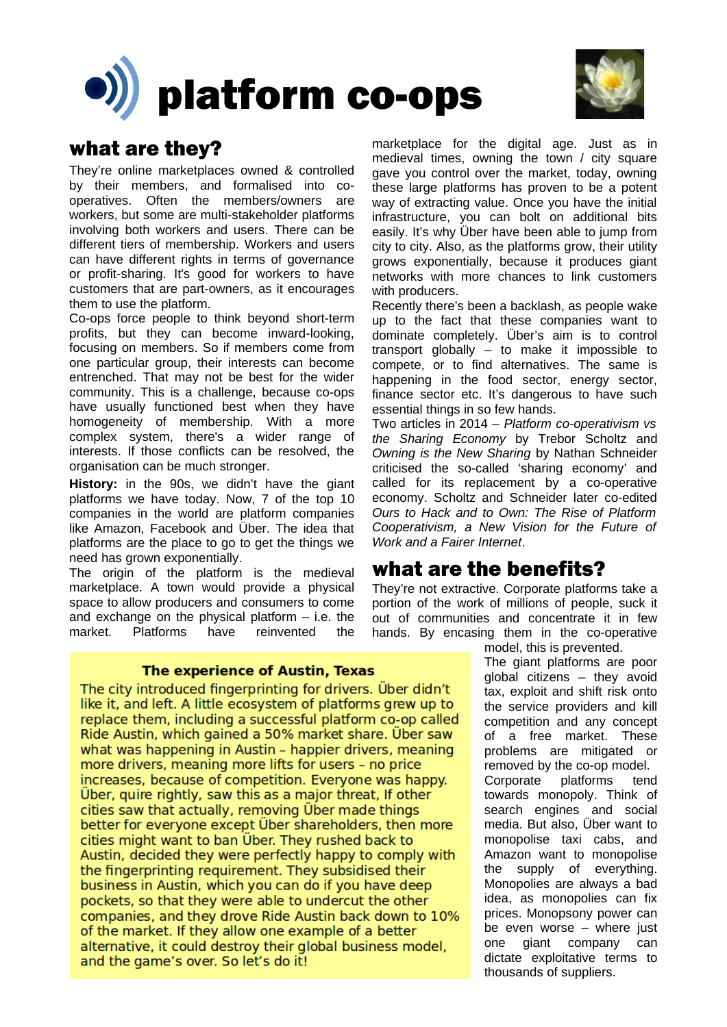



## what are they?

They're online marketplaces owned & controlled by their members, and formalised into cooperatives. Often the members/owners are workers, but some are multi-stakeholder platforms involving both workers and users. There can be different tiers of membership. Workers and users can have different rights in terms of governance or profit-sharing. It's good for workers to have customers that are part-owners, as it encourages them to use the platform.

Co-ops force people to think beyond short-term profits, but they can become inward-looking, focusing on members. So if members come from one particular group, their interests can become entrenched. That may not be best for the wider community. This is a challenge, because co-ops have usually functioned best when they have homogeneity of membership. With a more complex system, there's a wider range of interests. If those conflicts can be resolved, the organisation can be much stronger.

**History:** in the 90s, we didn't have the giant platforms we have today. Now, 7 of the top 10 companies in the world are platform companies like Amazon, Facebook and Über. The idea that platforms are the place to go to get the things we need has grown exponentially.

The origin of the platform is the medieval marketplace. A town would provide a physical space to allow producers and consumers to come and exchange on the physical platform – i.e. the market. Platforms have reinvented the

The experience of Austin, Texas

The city introduced fingerprinting for drivers. Über didn't like it, and left. A little ecosystem of platforms grew up to replace them, including a successful platform co-op called Ride Austin, which gained a 50% market share. Uber saw what was happening in Austin - happier drivers, meaning more drivers, meaning more lifts for users - no price increases, because of competition. Everyone was happy. Über, quire rightly, saw this as a major threat, If other cities saw that actually, removing Uber made things better for everyone except Uber shareholders, then more cities might want to ban Über. They rushed back to Austin, decided they were perfectly happy to comply with the fingerprinting requirement. They subsidised their business in Austin, which you can do if you have deep pockets, so that they were able to undercut the other companies, and they drove Ride Austin back down to 10% of the market. If they allow one example of a better alternative, it could destroy their global business model, and the game's over. So let's do it!

marketplace for the digital age. Just as in medieval times, owning the town / city square gave you control over the market, today, owning these large platforms has proven to be a potent way of extracting value. Once you have the initial infrastructure, you can bolt on additional bits easily. It's why Über have been able to jump from city to city. Also, as the platforms grow, their utility grows exponentially, because it produces giant networks with more chances to link customers with producers.

Recently there's been a backlash, as people wake up to the fact that these companies want to dominate completely. Über's aim is to control transport globally – to make it impossible to compete, or to find alternatives. The same is happening in the food sector, energy sector, finance sector etc. It's dangerous to have such essential things in so few hands.

Two articles in 2014 – *Platform co-operativism vs the Sharing Economy* by Trebor Scholtz and *Owning is the New Sharing* by Nathan Schneider criticised the so-called 'sharing economy' and called for its replacement by a co-operative economy. Scholtz and Schneider later co-edited *Ours to Hack and to Own: The Rise of Platform Cooperativism, a New Vision for the Future of Work and a Fairer Internet*.

## what are the benefits?

They're not extractive. Corporate platforms take a portion of the work of millions of people, suck it out of communities and concentrate it in few hands. By encasing them in the co-operative

model, this is prevented.

The giant platforms are poor global citizens – they avoid tax, exploit and shift risk onto the service providers and kill competition and any concept of a free market. These problems are mitigated or removed by the co-op model. Corporate platforms tend towards monopoly. Think of search engines and social media. But also, Über want to monopolise taxi cabs, and Amazon want to monopolise the supply of everything. Monopolies are always a bad idea, as monopolies can fix prices. Monopsony power can be even worse – where just one giant company can dictate exploitative terms to thousands of suppliers.